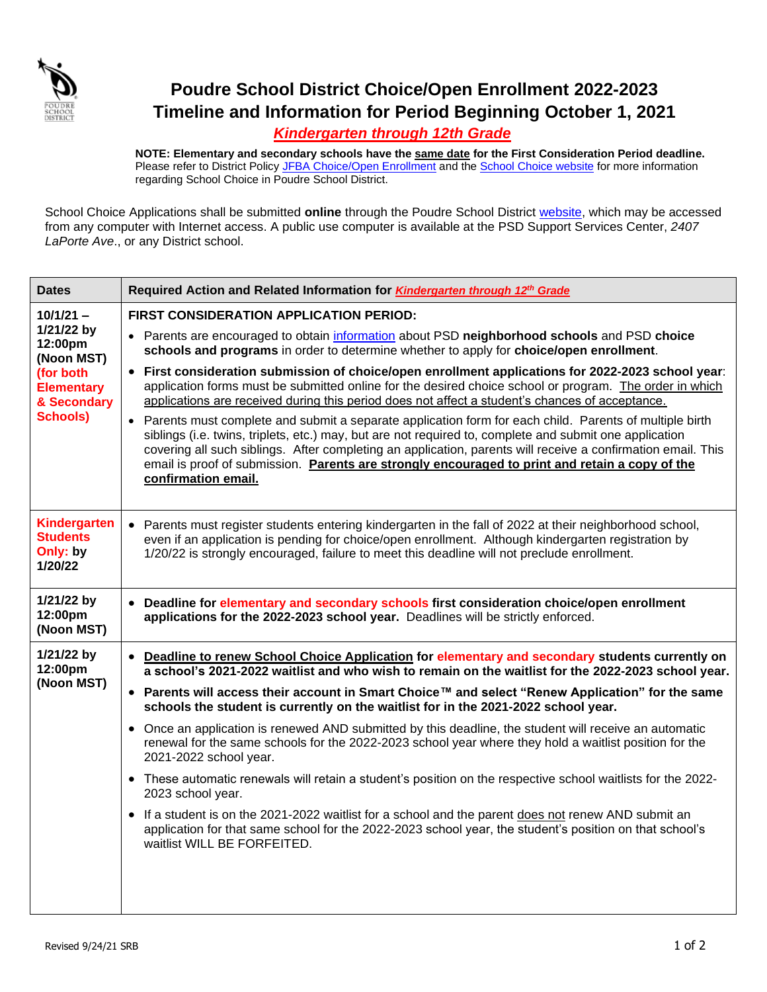

## **Poudre School District Choice/Open Enrollment 2022-2023 Timeline and Information for Period Beginning October 1, 2021**

## *Kindergarten through 12th Grade*

**NOTE: Elementary and secondary schools have the same date for the First Consideration Period deadline.**  Please refer to District Polic[y JFBA Choice/Open Enrollment](https://www.psdschools.org/sites/default/files/PSD/policies/JFBA.pdf) and the [School Choice website](http://psdschoolchoiceapplication.com/site.php) for more information regarding School Choice in Poudre School District.

School Choice Applications shall be submitted **online** through the Poudre School District [website,](http://psdschoolchoiceapplication.com/site.php) which may be accessed from any computer with Internet access. A public use computer is available at the PSD Support Services Center, *2407 LaPorte Ave*., or any District school.

| <b>Dates</b>                                                                                                           | Required Action and Related Information for Kindergarten through 12th Grade                                                                                                                                                                                                                                                                                                                                                                                                                                                                                                                                                                                                                                                                                                       |
|------------------------------------------------------------------------------------------------------------------------|-----------------------------------------------------------------------------------------------------------------------------------------------------------------------------------------------------------------------------------------------------------------------------------------------------------------------------------------------------------------------------------------------------------------------------------------------------------------------------------------------------------------------------------------------------------------------------------------------------------------------------------------------------------------------------------------------------------------------------------------------------------------------------------|
| $10/1/21 -$<br>1/21/22 by<br>12:00pm<br>(Noon MST)<br>(for both<br><b>Elementary</b><br>& Secondary<br><b>Schools)</b> | FIRST CONSIDERATION APPLICATION PERIOD:                                                                                                                                                                                                                                                                                                                                                                                                                                                                                                                                                                                                                                                                                                                                           |
|                                                                                                                        | • Parents are encouraged to obtain information about PSD neighborhood schools and PSD choice<br>schools and programs in order to determine whether to apply for choice/open enrollment.                                                                                                                                                                                                                                                                                                                                                                                                                                                                                                                                                                                           |
|                                                                                                                        | • First consideration submission of choice/open enrollment applications for 2022-2023 school year:<br>application forms must be submitted online for the desired choice school or program. The order in which<br>applications are received during this period does not affect a student's chances of acceptance.<br>• Parents must complete and submit a separate application form for each child. Parents of multiple birth<br>siblings (i.e. twins, triplets, etc.) may, but are not required to, complete and submit one application<br>covering all such siblings. After completing an application, parents will receive a confirmation email. This<br>email is proof of submission. Parents are strongly encouraged to print and retain a copy of the<br>confirmation email. |
| Kindergarten<br><b>Students</b><br>Only: by<br>1/20/22                                                                 | • Parents must register students entering kindergarten in the fall of 2022 at their neighborhood school,<br>even if an application is pending for choice/open enrollment. Although kindergarten registration by<br>1/20/22 is strongly encouraged, failure to meet this deadline will not preclude enrollment.                                                                                                                                                                                                                                                                                                                                                                                                                                                                    |
| 1/21/22 by<br>12:00pm<br>(Noon MST)                                                                                    | • Deadline for elementary and secondary schools first consideration choice/open enrollment<br>applications for the 2022-2023 school year. Deadlines will be strictly enforced.                                                                                                                                                                                                                                                                                                                                                                                                                                                                                                                                                                                                    |
| 1/21/22 by<br>12:00pm<br>(Noon MST)                                                                                    | • Deadline to renew School Choice Application for elementary and secondary students currently on<br>a school's 2021-2022 waitlist and who wish to remain on the waitlist for the 2022-2023 school year.                                                                                                                                                                                                                                                                                                                                                                                                                                                                                                                                                                           |
|                                                                                                                        | • Parents will access their account in Smart Choice™ and select "Renew Application" for the same<br>schools the student is currently on the waitlist for in the 2021-2022 school year.                                                                                                                                                                                                                                                                                                                                                                                                                                                                                                                                                                                            |
|                                                                                                                        | • Once an application is renewed AND submitted by this deadline, the student will receive an automatic<br>renewal for the same schools for the 2022-2023 school year where they hold a waitlist position for the<br>2021-2022 school year.                                                                                                                                                                                                                                                                                                                                                                                                                                                                                                                                        |
|                                                                                                                        | • These automatic renewals will retain a student's position on the respective school waitlists for the 2022-<br>2023 school year.                                                                                                                                                                                                                                                                                                                                                                                                                                                                                                                                                                                                                                                 |
|                                                                                                                        | • If a student is on the 2021-2022 waitlist for a school and the parent does not renew AND submit an<br>application for that same school for the 2022-2023 school year, the student's position on that school's<br>waitlist WILL BE FORFEITED.                                                                                                                                                                                                                                                                                                                                                                                                                                                                                                                                    |
|                                                                                                                        |                                                                                                                                                                                                                                                                                                                                                                                                                                                                                                                                                                                                                                                                                                                                                                                   |